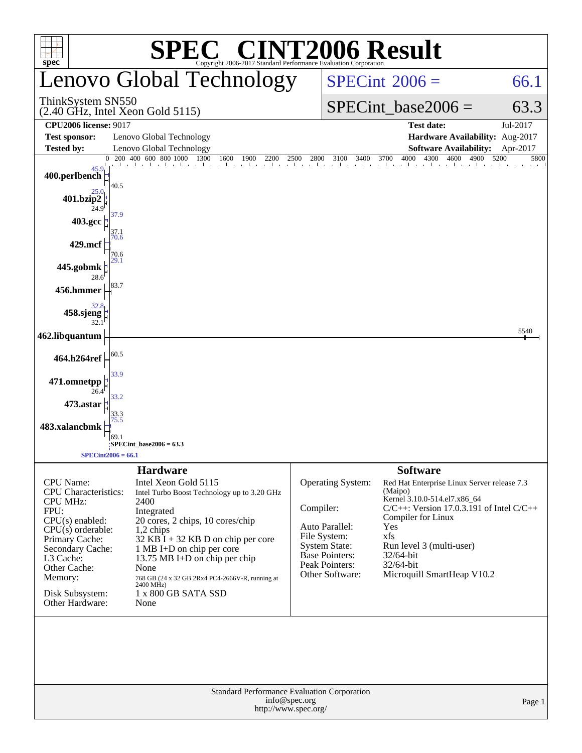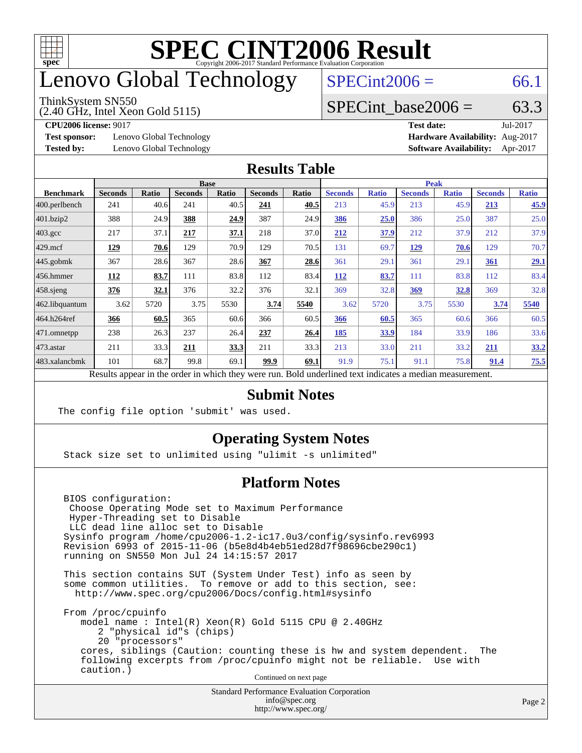

## enovo Global Technology

#### ThinkSystem SN550

(2.40 GHz, Intel Xeon Gold 5115)

 $SPECint2006 = 66.1$  $SPECint2006 = 66.1$ 

## SPECint base2006 =  $63.3$

**[Test sponsor:](http://www.spec.org/auto/cpu2006/Docs/result-fields.html#Testsponsor)** Lenovo Global Technology **[Hardware Availability:](http://www.spec.org/auto/cpu2006/Docs/result-fields.html#HardwareAvailability)** Aug-2017

**[CPU2006 license:](http://www.spec.org/auto/cpu2006/Docs/result-fields.html#CPU2006license)** 9017 **[Test date:](http://www.spec.org/auto/cpu2006/Docs/result-fields.html#Testdate)** Jul-2017 **[Tested by:](http://www.spec.org/auto/cpu2006/Docs/result-fields.html#Testedby)** Lenovo Global Technology **[Software Availability:](http://www.spec.org/auto/cpu2006/Docs/result-fields.html#SoftwareAvailability)** Apr-2017

#### **[Results Table](http://www.spec.org/auto/cpu2006/Docs/result-fields.html#ResultsTable)**

|                                                                                                          | <b>Base</b>    |              |                |       |                | <b>Peak</b> |                |              |                |              |                |              |
|----------------------------------------------------------------------------------------------------------|----------------|--------------|----------------|-------|----------------|-------------|----------------|--------------|----------------|--------------|----------------|--------------|
| <b>Benchmark</b>                                                                                         | <b>Seconds</b> | <b>Ratio</b> | <b>Seconds</b> | Ratio | <b>Seconds</b> | Ratio       | <b>Seconds</b> | <b>Ratio</b> | <b>Seconds</b> | <b>Ratio</b> | <b>Seconds</b> | <b>Ratio</b> |
| 400.perlbench                                                                                            | 241            | 40.6         | 241            | 40.5  | 241            | 40.5        | 213            | 45.9         | 213            | 45.9         | 213            | 45.9         |
| 401.bzip2                                                                                                | 388            | 24.9         | 388            | 24.9  | 387            | 24.9        | 386            | 25.0         | 386            | 25.0         | 387            | 25.0         |
| $403.\mathrm{gcc}$                                                                                       | 217            | 37.1         | 217            | 37.1  | 218            | 37.0        | 212            | 37.9         | 212            | 37.9         | 212            | 37.9         |
| $429$ .mcf                                                                                               | 129            | 70.6         | 129            | 70.9  | 129            | 70.5        | 131            | 69.7         | <u>129</u>     | 70.6         | 129            | 70.7         |
| $445$ .gobmk                                                                                             | 367            | 28.6         | 367            | 28.6  | 367            | 28.6        | 361            | 29.1         | 361            | 29.1         | 361            | 29.1         |
| $456.$ hmmer                                                                                             | 112            | 83.7         | 111            | 83.8  | 112            | 83.4        | 112            | 83.7         | 111            | 83.8         | 112            | 83.4         |
| $458$ .sjeng                                                                                             | 376            | 32.1         | 376            | 32.2  | 376            | 32.1        | 369            | 32.8         | 369            | 32.8         | 369            | 32.8         |
| 462.libquantum                                                                                           | 3.62           | 5720         | 3.75           | 5530  | 3.74           | 5540        | 3.62           | 5720         | 3.75           | 5530         | 3.74           | 5540         |
| 464.h264ref                                                                                              | 366            | 60.5         | 365            | 60.6  | 366            | 60.5        | 366            | 60.5         | 365            | 60.6         | 366            | 60.5         |
| 471.omnetpp                                                                                              | 238            | 26.3         | 237            | 26.4  | 237            | 26.4        | 185            | 33.9         | 184            | 33.9         | 186            | 33.6         |
| 473.astar                                                                                                | 211            | 33.3         | 211            | 33.3  | 211            | 33.3        | 213            | 33.0         | 211            | 33.2         | 211            | 33.2         |
| 483.xalancbmk                                                                                            | 101            | 68.7         | 99.8           | 69.1  | 99.9           | 69.1        | 91.9           | 75.1         | 91.1           | 75.8         | 91.4           | 75.5         |
| Results appear in the order in which they were run. Bold underlined text indicates a median measurement. |                |              |                |       |                |             |                |              |                |              |                |              |

### **[Submit Notes](http://www.spec.org/auto/cpu2006/Docs/result-fields.html#SubmitNotes)**

The config file option 'submit' was used.

## **[Operating System Notes](http://www.spec.org/auto/cpu2006/Docs/result-fields.html#OperatingSystemNotes)**

Stack size set to unlimited using "ulimit -s unlimited"

## **[Platform Notes](http://www.spec.org/auto/cpu2006/Docs/result-fields.html#PlatformNotes)**

 BIOS configuration: Choose Operating Mode set to Maximum Performance Hyper-Threading set to Disable LLC dead line alloc set to Disable Sysinfo program /home/cpu2006-1.2-ic17.0u3/config/sysinfo.rev6993 Revision 6993 of 2015-11-06 (b5e8d4b4eb51ed28d7f98696cbe290c1) running on SN550 Mon Jul 24 14:15:57 2017

 This section contains SUT (System Under Test) info as seen by some common utilities. To remove or add to this section, see: <http://www.spec.org/cpu2006/Docs/config.html#sysinfo>

 From /proc/cpuinfo model name : Intel(R) Xeon(R) Gold 5115 CPU @ 2.40GHz 2 "physical id"s (chips) 20 "processors" cores, siblings (Caution: counting these is hw and system dependent. The following excerpts from /proc/cpuinfo might not be reliable. Use with caution.)

Continued on next page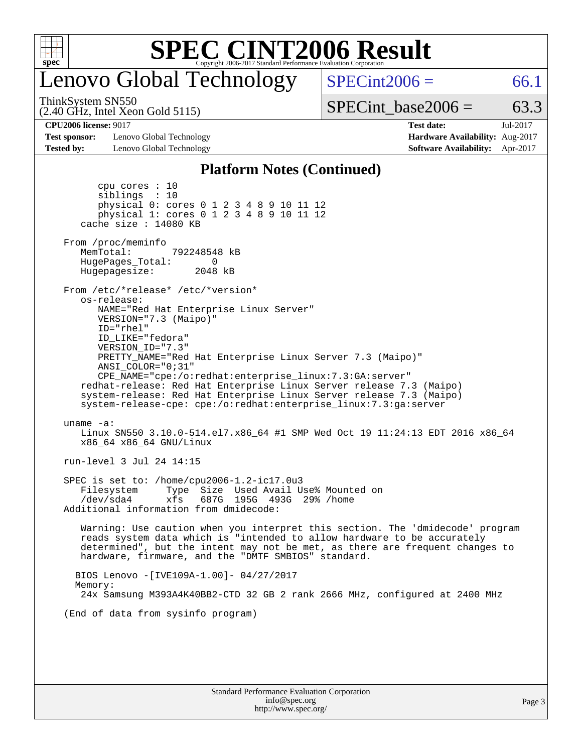

## enovo Global Technology

 $SPECint2006 = 66.1$  $SPECint2006 = 66.1$ 

ThinkSystem SN550

(2.40 GHz, Intel Xeon Gold 5115)

SPECint base2006 =  $63.3$ 

**[Test sponsor:](http://www.spec.org/auto/cpu2006/Docs/result-fields.html#Testsponsor)** Lenovo Global Technology **[Hardware Availability:](http://www.spec.org/auto/cpu2006/Docs/result-fields.html#HardwareAvailability)** Aug-2017 **[Tested by:](http://www.spec.org/auto/cpu2006/Docs/result-fields.html#Testedby)** Lenovo Global Technology **[Software Availability:](http://www.spec.org/auto/cpu2006/Docs/result-fields.html#SoftwareAvailability)** Apr-2017

**[CPU2006 license:](http://www.spec.org/auto/cpu2006/Docs/result-fields.html#CPU2006license)** 9017 **[Test date:](http://www.spec.org/auto/cpu2006/Docs/result-fields.html#Testdate)** Jul-2017

#### **[Platform Notes \(Continued\)](http://www.spec.org/auto/cpu2006/Docs/result-fields.html#PlatformNotes)**

 cpu cores : 10 siblings : 10 physical 0: cores 0 1 2 3 4 8 9 10 11 12 physical 1: cores 0 1 2 3 4 8 9 10 11 12 cache size : 14080 KB From /proc/meminfo MemTotal: 792248548 kB HugePages\_Total: 0<br>Hugepagesize: 2048 kB Hugepagesize: From /etc/\*release\* /etc/\*version\* os-release: NAME="Red Hat Enterprise Linux Server" VERSION="7.3 (Maipo)" ID="rhel" ID\_LIKE="fedora" VERSION\_ID="7.3" PRETTY\_NAME="Red Hat Enterprise Linux Server 7.3 (Maipo)" ANSI\_COLOR="0;31" CPE\_NAME="cpe:/o:redhat:enterprise\_linux:7.3:GA:server" redhat-release: Red Hat Enterprise Linux Server release 7.3 (Maipo) system-release: Red Hat Enterprise Linux Server release 7.3 (Maipo) system-release-cpe: cpe:/o:redhat:enterprise\_linux:7.3:ga:server uname -a: Linux SN550 3.10.0-514.el7.x86\_64 #1 SMP Wed Oct 19 11:24:13 EDT 2016 x86\_64 x86\_64 x86\_64 GNU/Linux run-level 3 Jul 24 14:15 SPEC is set to: /home/cpu2006-1.2-ic17.0u3 Filesystem Type Size Used Avail Use% Mounted on /dev/sda4 xfs 687G 195G 493G 29% /home Additional information from dmidecode: Warning: Use caution when you interpret this section. The 'dmidecode' program reads system data which is "intended to allow hardware to be accurately determined", but the intent may not be met, as there are frequent changes to hardware, firmware, and the "DMTF SMBIOS" standard. BIOS Lenovo -[IVE109A-1.00]- 04/27/2017 Memory: 24x Samsung M393A4K40BB2-CTD 32 GB 2 rank 2666 MHz, configured at 2400 MHz (End of data from sysinfo program)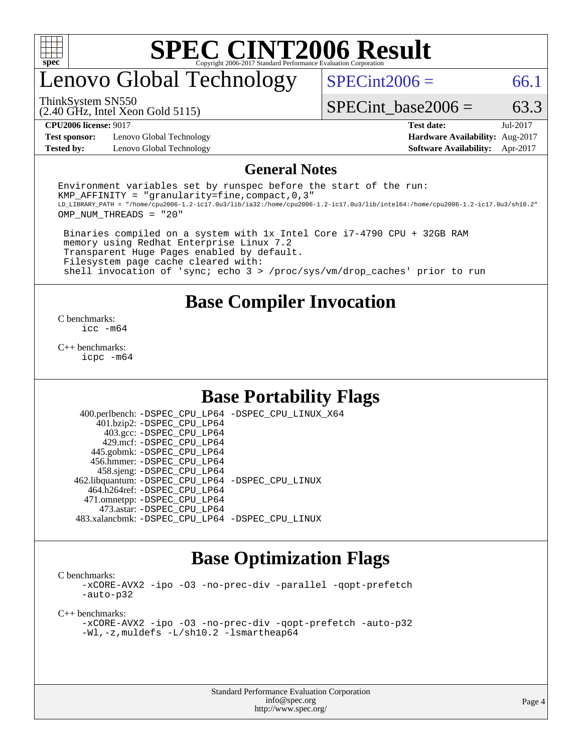

## enovo Global Technology

 $SPECint2006 = 66.1$  $SPECint2006 = 66.1$ 

ThinkSystem SN550

(2.40 GHz, Intel Xeon Gold 5115)

**[Test sponsor:](http://www.spec.org/auto/cpu2006/Docs/result-fields.html#Testsponsor)** Lenovo Global Technology **[Hardware Availability:](http://www.spec.org/auto/cpu2006/Docs/result-fields.html#HardwareAvailability)** Aug-2017

SPECint base2006 =  $63.3$ **[CPU2006 license:](http://www.spec.org/auto/cpu2006/Docs/result-fields.html#CPU2006license)** 9017 **[Test date:](http://www.spec.org/auto/cpu2006/Docs/result-fields.html#Testdate)** Jul-2017

**[Tested by:](http://www.spec.org/auto/cpu2006/Docs/result-fields.html#Testedby)** Lenovo Global Technology **[Software Availability:](http://www.spec.org/auto/cpu2006/Docs/result-fields.html#SoftwareAvailability)** Apr-2017

#### **[General Notes](http://www.spec.org/auto/cpu2006/Docs/result-fields.html#GeneralNotes)**

Environment variables set by runspec before the start of the run: KMP AFFINITY = "granularity=fine, compact,  $0,3$ " LD\_LIBRARY\_PATH = "/home/cpu2006-1.2-ic17.0u3/lib/ia32:/home/cpu2006-1.2-ic17.0u3/lib/intel64:/home/cpu2006-1.2-ic17.0u3/sh10.2" OMP\_NUM\_THREADS = "20"

 Binaries compiled on a system with 1x Intel Core i7-4790 CPU + 32GB RAM memory using Redhat Enterprise Linux 7.2 Transparent Huge Pages enabled by default. Filesystem page cache cleared with: shell invocation of 'sync; echo 3 > /proc/sys/vm/drop\_caches' prior to run

## **[Base Compiler Invocation](http://www.spec.org/auto/cpu2006/Docs/result-fields.html#BaseCompilerInvocation)**

[C benchmarks](http://www.spec.org/auto/cpu2006/Docs/result-fields.html#Cbenchmarks): [icc -m64](http://www.spec.org/cpu2006/results/res2017q4/cpu2006-20170918-50074.flags.html#user_CCbase_intel_icc_64bit_bda6cc9af1fdbb0edc3795bac97ada53)

[C++ benchmarks:](http://www.spec.org/auto/cpu2006/Docs/result-fields.html#CXXbenchmarks) [icpc -m64](http://www.spec.org/cpu2006/results/res2017q4/cpu2006-20170918-50074.flags.html#user_CXXbase_intel_icpc_64bit_fc66a5337ce925472a5c54ad6a0de310)

## **[Base Portability Flags](http://www.spec.org/auto/cpu2006/Docs/result-fields.html#BasePortabilityFlags)**

 400.perlbench: [-DSPEC\\_CPU\\_LP64](http://www.spec.org/cpu2006/results/res2017q4/cpu2006-20170918-50074.flags.html#b400.perlbench_basePORTABILITY_DSPEC_CPU_LP64) [-DSPEC\\_CPU\\_LINUX\\_X64](http://www.spec.org/cpu2006/results/res2017q4/cpu2006-20170918-50074.flags.html#b400.perlbench_baseCPORTABILITY_DSPEC_CPU_LINUX_X64) 401.bzip2: [-DSPEC\\_CPU\\_LP64](http://www.spec.org/cpu2006/results/res2017q4/cpu2006-20170918-50074.flags.html#suite_basePORTABILITY401_bzip2_DSPEC_CPU_LP64) 403.gcc: [-DSPEC\\_CPU\\_LP64](http://www.spec.org/cpu2006/results/res2017q4/cpu2006-20170918-50074.flags.html#suite_basePORTABILITY403_gcc_DSPEC_CPU_LP64) 429.mcf: [-DSPEC\\_CPU\\_LP64](http://www.spec.org/cpu2006/results/res2017q4/cpu2006-20170918-50074.flags.html#suite_basePORTABILITY429_mcf_DSPEC_CPU_LP64) 445.gobmk: [-DSPEC\\_CPU\\_LP64](http://www.spec.org/cpu2006/results/res2017q4/cpu2006-20170918-50074.flags.html#suite_basePORTABILITY445_gobmk_DSPEC_CPU_LP64) 456.hmmer: [-DSPEC\\_CPU\\_LP64](http://www.spec.org/cpu2006/results/res2017q4/cpu2006-20170918-50074.flags.html#suite_basePORTABILITY456_hmmer_DSPEC_CPU_LP64) 458.sjeng: [-DSPEC\\_CPU\\_LP64](http://www.spec.org/cpu2006/results/res2017q4/cpu2006-20170918-50074.flags.html#suite_basePORTABILITY458_sjeng_DSPEC_CPU_LP64) 462.libquantum: [-DSPEC\\_CPU\\_LP64](http://www.spec.org/cpu2006/results/res2017q4/cpu2006-20170918-50074.flags.html#suite_basePORTABILITY462_libquantum_DSPEC_CPU_LP64) [-DSPEC\\_CPU\\_LINUX](http://www.spec.org/cpu2006/results/res2017q4/cpu2006-20170918-50074.flags.html#b462.libquantum_baseCPORTABILITY_DSPEC_CPU_LINUX) 464.h264ref: [-DSPEC\\_CPU\\_LP64](http://www.spec.org/cpu2006/results/res2017q4/cpu2006-20170918-50074.flags.html#suite_basePORTABILITY464_h264ref_DSPEC_CPU_LP64) 471.omnetpp: [-DSPEC\\_CPU\\_LP64](http://www.spec.org/cpu2006/results/res2017q4/cpu2006-20170918-50074.flags.html#suite_basePORTABILITY471_omnetpp_DSPEC_CPU_LP64) 473.astar: [-DSPEC\\_CPU\\_LP64](http://www.spec.org/cpu2006/results/res2017q4/cpu2006-20170918-50074.flags.html#suite_basePORTABILITY473_astar_DSPEC_CPU_LP64) 483.xalancbmk: [-DSPEC\\_CPU\\_LP64](http://www.spec.org/cpu2006/results/res2017q4/cpu2006-20170918-50074.flags.html#suite_basePORTABILITY483_xalancbmk_DSPEC_CPU_LP64) [-DSPEC\\_CPU\\_LINUX](http://www.spec.org/cpu2006/results/res2017q4/cpu2006-20170918-50074.flags.html#b483.xalancbmk_baseCXXPORTABILITY_DSPEC_CPU_LINUX)

## **[Base Optimization Flags](http://www.spec.org/auto/cpu2006/Docs/result-fields.html#BaseOptimizationFlags)**

[C benchmarks](http://www.spec.org/auto/cpu2006/Docs/result-fields.html#Cbenchmarks):

[-xCORE-AVX2](http://www.spec.org/cpu2006/results/res2017q4/cpu2006-20170918-50074.flags.html#user_CCbase_f-xCORE-AVX2) [-ipo](http://www.spec.org/cpu2006/results/res2017q4/cpu2006-20170918-50074.flags.html#user_CCbase_f-ipo) [-O3](http://www.spec.org/cpu2006/results/res2017q4/cpu2006-20170918-50074.flags.html#user_CCbase_f-O3) [-no-prec-div](http://www.spec.org/cpu2006/results/res2017q4/cpu2006-20170918-50074.flags.html#user_CCbase_f-no-prec-div) [-parallel](http://www.spec.org/cpu2006/results/res2017q4/cpu2006-20170918-50074.flags.html#user_CCbase_f-parallel) [-qopt-prefetch](http://www.spec.org/cpu2006/results/res2017q4/cpu2006-20170918-50074.flags.html#user_CCbase_f-qopt-prefetch) [-auto-p32](http://www.spec.org/cpu2006/results/res2017q4/cpu2006-20170918-50074.flags.html#user_CCbase_f-auto-p32)

[C++ benchmarks:](http://www.spec.org/auto/cpu2006/Docs/result-fields.html#CXXbenchmarks)

[-xCORE-AVX2](http://www.spec.org/cpu2006/results/res2017q4/cpu2006-20170918-50074.flags.html#user_CXXbase_f-xCORE-AVX2) [-ipo](http://www.spec.org/cpu2006/results/res2017q4/cpu2006-20170918-50074.flags.html#user_CXXbase_f-ipo) [-O3](http://www.spec.org/cpu2006/results/res2017q4/cpu2006-20170918-50074.flags.html#user_CXXbase_f-O3) [-no-prec-div](http://www.spec.org/cpu2006/results/res2017q4/cpu2006-20170918-50074.flags.html#user_CXXbase_f-no-prec-div) [-qopt-prefetch](http://www.spec.org/cpu2006/results/res2017q4/cpu2006-20170918-50074.flags.html#user_CXXbase_f-qopt-prefetch) [-auto-p32](http://www.spec.org/cpu2006/results/res2017q4/cpu2006-20170918-50074.flags.html#user_CXXbase_f-auto-p32) [-Wl,-z,muldefs](http://www.spec.org/cpu2006/results/res2017q4/cpu2006-20170918-50074.flags.html#user_CXXbase_link_force_multiple1_74079c344b956b9658436fd1b6dd3a8a) [-L/sh10.2 -lsmartheap64](http://www.spec.org/cpu2006/results/res2017q4/cpu2006-20170918-50074.flags.html#user_CXXbase_SmartHeap64_63911d860fc08c15fa1d5bf319b9d8d5)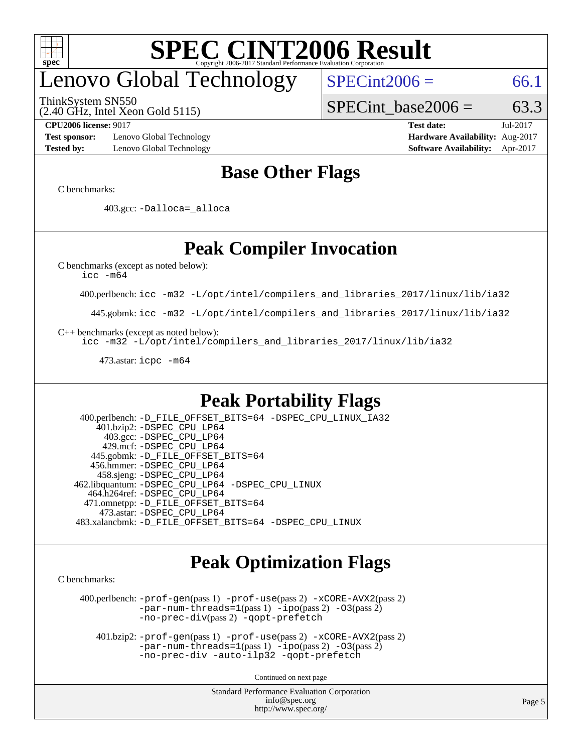

# enovo Global Technology

ThinkSystem SN550

(2.40 GHz, Intel Xeon Gold 5115)

 $SPECint2006 = 66.1$  $SPECint2006 = 66.1$ 

SPECint base2006 =  $63.3$ 

**[Test sponsor:](http://www.spec.org/auto/cpu2006/Docs/result-fields.html#Testsponsor)** Lenovo Global Technology **[Hardware Availability:](http://www.spec.org/auto/cpu2006/Docs/result-fields.html#HardwareAvailability)** Aug-2017 **[Tested by:](http://www.spec.org/auto/cpu2006/Docs/result-fields.html#Testedby)** Lenovo Global Technology **[Software Availability:](http://www.spec.org/auto/cpu2006/Docs/result-fields.html#SoftwareAvailability)** Apr-2017

**[CPU2006 license:](http://www.spec.org/auto/cpu2006/Docs/result-fields.html#CPU2006license)** 9017 **[Test date:](http://www.spec.org/auto/cpu2006/Docs/result-fields.html#Testdate)** Jul-2017

## **[Base Other Flags](http://www.spec.org/auto/cpu2006/Docs/result-fields.html#BaseOtherFlags)**

[C benchmarks](http://www.spec.org/auto/cpu2006/Docs/result-fields.html#Cbenchmarks):

403.gcc: [-Dalloca=\\_alloca](http://www.spec.org/cpu2006/results/res2017q4/cpu2006-20170918-50074.flags.html#b403.gcc_baseEXTRA_CFLAGS_Dalloca_be3056838c12de2578596ca5467af7f3)

## **[Peak Compiler Invocation](http://www.spec.org/auto/cpu2006/Docs/result-fields.html#PeakCompilerInvocation)**

[C benchmarks \(except as noted below\)](http://www.spec.org/auto/cpu2006/Docs/result-fields.html#Cbenchmarksexceptasnotedbelow):

[icc -m64](http://www.spec.org/cpu2006/results/res2017q4/cpu2006-20170918-50074.flags.html#user_CCpeak_intel_icc_64bit_bda6cc9af1fdbb0edc3795bac97ada53)

400.perlbench: [icc -m32 -L/opt/intel/compilers\\_and\\_libraries\\_2017/linux/lib/ia32](http://www.spec.org/cpu2006/results/res2017q4/cpu2006-20170918-50074.flags.html#user_peakCCLD400_perlbench_intel_icc_c29f3ff5a7ed067b11e4ec10a03f03ae)

445.gobmk: [icc -m32 -L/opt/intel/compilers\\_and\\_libraries\\_2017/linux/lib/ia32](http://www.spec.org/cpu2006/results/res2017q4/cpu2006-20170918-50074.flags.html#user_peakCCLD445_gobmk_intel_icc_c29f3ff5a7ed067b11e4ec10a03f03ae)

[C++ benchmarks \(except as noted below\):](http://www.spec.org/auto/cpu2006/Docs/result-fields.html#CXXbenchmarksexceptasnotedbelow)

[icc -m32 -L/opt/intel/compilers\\_and\\_libraries\\_2017/linux/lib/ia32](http://www.spec.org/cpu2006/results/res2017q4/cpu2006-20170918-50074.flags.html#user_CXXpeak_intel_icc_c29f3ff5a7ed067b11e4ec10a03f03ae)

473.astar: [icpc -m64](http://www.spec.org/cpu2006/results/res2017q4/cpu2006-20170918-50074.flags.html#user_peakCXXLD473_astar_intel_icpc_64bit_fc66a5337ce925472a5c54ad6a0de310)

## **[Peak Portability Flags](http://www.spec.org/auto/cpu2006/Docs/result-fields.html#PeakPortabilityFlags)**

 400.perlbench: [-D\\_FILE\\_OFFSET\\_BITS=64](http://www.spec.org/cpu2006/results/res2017q4/cpu2006-20170918-50074.flags.html#user_peakPORTABILITY400_perlbench_file_offset_bits_64_438cf9856305ebd76870a2c6dc2689ab) [-DSPEC\\_CPU\\_LINUX\\_IA32](http://www.spec.org/cpu2006/results/res2017q4/cpu2006-20170918-50074.flags.html#b400.perlbench_peakCPORTABILITY_DSPEC_CPU_LINUX_IA32) 401.bzip2: [-DSPEC\\_CPU\\_LP64](http://www.spec.org/cpu2006/results/res2017q4/cpu2006-20170918-50074.flags.html#suite_peakPORTABILITY401_bzip2_DSPEC_CPU_LP64) 403.gcc: [-DSPEC\\_CPU\\_LP64](http://www.spec.org/cpu2006/results/res2017q4/cpu2006-20170918-50074.flags.html#suite_peakPORTABILITY403_gcc_DSPEC_CPU_LP64) 429.mcf: [-DSPEC\\_CPU\\_LP64](http://www.spec.org/cpu2006/results/res2017q4/cpu2006-20170918-50074.flags.html#suite_peakPORTABILITY429_mcf_DSPEC_CPU_LP64) 445.gobmk: [-D\\_FILE\\_OFFSET\\_BITS=64](http://www.spec.org/cpu2006/results/res2017q4/cpu2006-20170918-50074.flags.html#user_peakPORTABILITY445_gobmk_file_offset_bits_64_438cf9856305ebd76870a2c6dc2689ab) 456.hmmer: [-DSPEC\\_CPU\\_LP64](http://www.spec.org/cpu2006/results/res2017q4/cpu2006-20170918-50074.flags.html#suite_peakPORTABILITY456_hmmer_DSPEC_CPU_LP64) 458.sjeng: [-DSPEC\\_CPU\\_LP64](http://www.spec.org/cpu2006/results/res2017q4/cpu2006-20170918-50074.flags.html#suite_peakPORTABILITY458_sjeng_DSPEC_CPU_LP64) 462.libquantum: [-DSPEC\\_CPU\\_LP64](http://www.spec.org/cpu2006/results/res2017q4/cpu2006-20170918-50074.flags.html#suite_peakPORTABILITY462_libquantum_DSPEC_CPU_LP64) [-DSPEC\\_CPU\\_LINUX](http://www.spec.org/cpu2006/results/res2017q4/cpu2006-20170918-50074.flags.html#b462.libquantum_peakCPORTABILITY_DSPEC_CPU_LINUX) 464.h264ref: [-DSPEC\\_CPU\\_LP64](http://www.spec.org/cpu2006/results/res2017q4/cpu2006-20170918-50074.flags.html#suite_peakPORTABILITY464_h264ref_DSPEC_CPU_LP64) 471.omnetpp: [-D\\_FILE\\_OFFSET\\_BITS=64](http://www.spec.org/cpu2006/results/res2017q4/cpu2006-20170918-50074.flags.html#user_peakPORTABILITY471_omnetpp_file_offset_bits_64_438cf9856305ebd76870a2c6dc2689ab) 473.astar: [-DSPEC\\_CPU\\_LP64](http://www.spec.org/cpu2006/results/res2017q4/cpu2006-20170918-50074.flags.html#suite_peakPORTABILITY473_astar_DSPEC_CPU_LP64) 483.xalancbmk: [-D\\_FILE\\_OFFSET\\_BITS=64](http://www.spec.org/cpu2006/results/res2017q4/cpu2006-20170918-50074.flags.html#user_peakPORTABILITY483_xalancbmk_file_offset_bits_64_438cf9856305ebd76870a2c6dc2689ab) [-DSPEC\\_CPU\\_LINUX](http://www.spec.org/cpu2006/results/res2017q4/cpu2006-20170918-50074.flags.html#b483.xalancbmk_peakCXXPORTABILITY_DSPEC_CPU_LINUX)

## **[Peak Optimization Flags](http://www.spec.org/auto/cpu2006/Docs/result-fields.html#PeakOptimizationFlags)**

[C benchmarks](http://www.spec.org/auto/cpu2006/Docs/result-fields.html#Cbenchmarks):

 400.perlbench: [-prof-gen](http://www.spec.org/cpu2006/results/res2017q4/cpu2006-20170918-50074.flags.html#user_peakPASS1_CFLAGSPASS1_LDCFLAGS400_perlbench_prof_gen_e43856698f6ca7b7e442dfd80e94a8fc)(pass 1) [-prof-use](http://www.spec.org/cpu2006/results/res2017q4/cpu2006-20170918-50074.flags.html#user_peakPASS2_CFLAGSPASS2_LDCFLAGS400_perlbench_prof_use_bccf7792157ff70d64e32fe3e1250b55)(pass 2) [-xCORE-AVX2](http://www.spec.org/cpu2006/results/res2017q4/cpu2006-20170918-50074.flags.html#user_peakPASS2_CFLAGSPASS2_LDCFLAGS400_perlbench_f-xCORE-AVX2)(pass 2) [-par-num-threads=1](http://www.spec.org/cpu2006/results/res2017q4/cpu2006-20170918-50074.flags.html#user_peakPASS1_CFLAGSPASS1_LDCFLAGS400_perlbench_par_num_threads_786a6ff141b4e9e90432e998842df6c2)(pass 1) [-ipo](http://www.spec.org/cpu2006/results/res2017q4/cpu2006-20170918-50074.flags.html#user_peakPASS2_CFLAGSPASS2_LDCFLAGS400_perlbench_f-ipo)(pass 2) [-O3](http://www.spec.org/cpu2006/results/res2017q4/cpu2006-20170918-50074.flags.html#user_peakPASS2_CFLAGSPASS2_LDCFLAGS400_perlbench_f-O3)(pass 2) [-no-prec-div](http://www.spec.org/cpu2006/results/res2017q4/cpu2006-20170918-50074.flags.html#user_peakPASS2_CFLAGSPASS2_LDCFLAGS400_perlbench_f-no-prec-div)(pass 2) [-qopt-prefetch](http://www.spec.org/cpu2006/results/res2017q4/cpu2006-20170918-50074.flags.html#user_peakCOPTIMIZE400_perlbench_f-qopt-prefetch)

 401.bzip2: [-prof-gen](http://www.spec.org/cpu2006/results/res2017q4/cpu2006-20170918-50074.flags.html#user_peakPASS1_CFLAGSPASS1_LDCFLAGS401_bzip2_prof_gen_e43856698f6ca7b7e442dfd80e94a8fc)(pass 1) [-prof-use](http://www.spec.org/cpu2006/results/res2017q4/cpu2006-20170918-50074.flags.html#user_peakPASS2_CFLAGSPASS2_LDCFLAGS401_bzip2_prof_use_bccf7792157ff70d64e32fe3e1250b55)(pass 2) [-xCORE-AVX2](http://www.spec.org/cpu2006/results/res2017q4/cpu2006-20170918-50074.flags.html#user_peakPASS2_CFLAGSPASS2_LDCFLAGS401_bzip2_f-xCORE-AVX2)(pass 2)  $-par-num-threads=1(pass 1) -ipo(pass 2) -O3(pass 2)$  $-par-num-threads=1(pass 1) -ipo(pass 2) -O3(pass 2)$  $-par-num-threads=1(pass 1) -ipo(pass 2) -O3(pass 2)$  $-par-num-threads=1(pass 1) -ipo(pass 2) -O3(pass 2)$  $-par-num-threads=1(pass 1) -ipo(pass 2) -O3(pass 2)$  $-par-num-threads=1(pass 1) -ipo(pass 2) -O3(pass 2)$ [-no-prec-div](http://www.spec.org/cpu2006/results/res2017q4/cpu2006-20170918-50074.flags.html#user_peakCOPTIMIZEPASS2_CFLAGSPASS2_LDCFLAGS401_bzip2_f-no-prec-div) [-auto-ilp32](http://www.spec.org/cpu2006/results/res2017q4/cpu2006-20170918-50074.flags.html#user_peakCOPTIMIZE401_bzip2_f-auto-ilp32) [-qopt-prefetch](http://www.spec.org/cpu2006/results/res2017q4/cpu2006-20170918-50074.flags.html#user_peakCOPTIMIZE401_bzip2_f-qopt-prefetch)

Continued on next page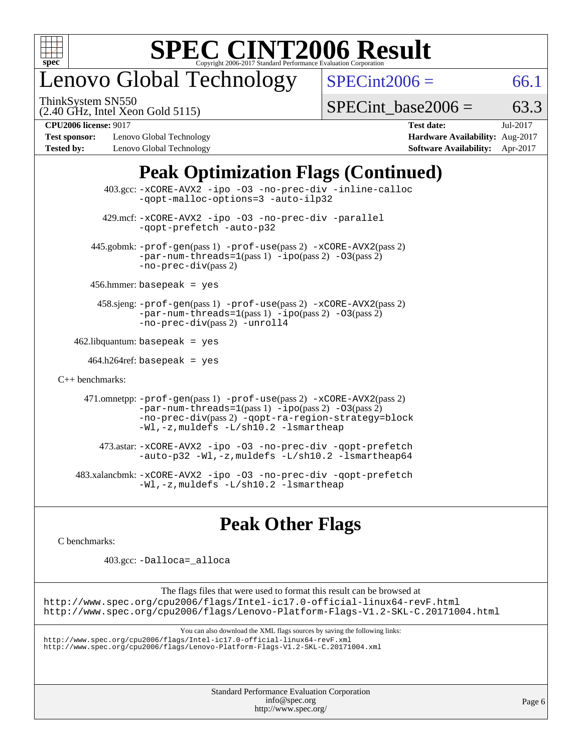

# enovo Global Technology

ThinkSystem SN550

 $SPECint2006 = 66.1$  $SPECint2006 = 66.1$ 

(2.40 GHz, Intel Xeon Gold 5115)

SPECint base2006 =  $63.3$ 

**[Test sponsor:](http://www.spec.org/auto/cpu2006/Docs/result-fields.html#Testsponsor)** Lenovo Global Technology **[Hardware Availability:](http://www.spec.org/auto/cpu2006/Docs/result-fields.html#HardwareAvailability)** Aug-2017 **[Tested by:](http://www.spec.org/auto/cpu2006/Docs/result-fields.html#Testedby)** Lenovo Global Technology **[Software Availability:](http://www.spec.org/auto/cpu2006/Docs/result-fields.html#SoftwareAvailability)** Apr-2017

**[CPU2006 license:](http://www.spec.org/auto/cpu2006/Docs/result-fields.html#CPU2006license)** 9017 **[Test date:](http://www.spec.org/auto/cpu2006/Docs/result-fields.html#Testdate)** Jul-2017

## **[Peak Optimization Flags \(Continued\)](http://www.spec.org/auto/cpu2006/Docs/result-fields.html#PeakOptimizationFlags)**

 403.gcc: [-xCORE-AVX2](http://www.spec.org/cpu2006/results/res2017q4/cpu2006-20170918-50074.flags.html#user_peakOPTIMIZE403_gcc_f-xCORE-AVX2) [-ipo](http://www.spec.org/cpu2006/results/res2017q4/cpu2006-20170918-50074.flags.html#user_peakOPTIMIZE403_gcc_f-ipo) [-O3](http://www.spec.org/cpu2006/results/res2017q4/cpu2006-20170918-50074.flags.html#user_peakOPTIMIZE403_gcc_f-O3) [-no-prec-div](http://www.spec.org/cpu2006/results/res2017q4/cpu2006-20170918-50074.flags.html#user_peakOPTIMIZE403_gcc_f-no-prec-div) [-inline-calloc](http://www.spec.org/cpu2006/results/res2017q4/cpu2006-20170918-50074.flags.html#user_peakCOPTIMIZE403_gcc_f-inline-calloc) [-qopt-malloc-options=3](http://www.spec.org/cpu2006/results/res2017q4/cpu2006-20170918-50074.flags.html#user_peakCOPTIMIZE403_gcc_f-qopt-malloc-options_0fcb435012e78f27d57f473818e45fe4) [-auto-ilp32](http://www.spec.org/cpu2006/results/res2017q4/cpu2006-20170918-50074.flags.html#user_peakCOPTIMIZE403_gcc_f-auto-ilp32) 429.mcf: [-xCORE-AVX2](http://www.spec.org/cpu2006/results/res2017q4/cpu2006-20170918-50074.flags.html#user_peakOPTIMIZE429_mcf_f-xCORE-AVX2) [-ipo](http://www.spec.org/cpu2006/results/res2017q4/cpu2006-20170918-50074.flags.html#user_peakOPTIMIZE429_mcf_f-ipo) [-O3](http://www.spec.org/cpu2006/results/res2017q4/cpu2006-20170918-50074.flags.html#user_peakOPTIMIZE429_mcf_f-O3) [-no-prec-div](http://www.spec.org/cpu2006/results/res2017q4/cpu2006-20170918-50074.flags.html#user_peakOPTIMIZE429_mcf_f-no-prec-div) [-parallel](http://www.spec.org/cpu2006/results/res2017q4/cpu2006-20170918-50074.flags.html#user_peakCOPTIMIZE429_mcf_f-parallel) [-qopt-prefetch](http://www.spec.org/cpu2006/results/res2017q4/cpu2006-20170918-50074.flags.html#user_peakCOPTIMIZE429_mcf_f-qopt-prefetch) [-auto-p32](http://www.spec.org/cpu2006/results/res2017q4/cpu2006-20170918-50074.flags.html#user_peakCOPTIMIZE429_mcf_f-auto-p32) 445.gobmk: [-prof-gen](http://www.spec.org/cpu2006/results/res2017q4/cpu2006-20170918-50074.flags.html#user_peakPASS1_CFLAGSPASS1_LDCFLAGS445_gobmk_prof_gen_e43856698f6ca7b7e442dfd80e94a8fc)(pass 1) [-prof-use](http://www.spec.org/cpu2006/results/res2017q4/cpu2006-20170918-50074.flags.html#user_peakPASS2_CFLAGSPASS2_LDCFLAGS445_gobmk_prof_use_bccf7792157ff70d64e32fe3e1250b55)(pass 2) [-xCORE-AVX2](http://www.spec.org/cpu2006/results/res2017q4/cpu2006-20170918-50074.flags.html#user_peakPASS2_CFLAGSPASS2_LDCFLAGS445_gobmk_f-xCORE-AVX2)(pass 2)  $-par-num-threads=1(pass 1) -ipo(pass 2) -O3(pass 2)$  $-par-num-threads=1(pass 1) -ipo(pass 2) -O3(pass 2)$  $-par-num-threads=1(pass 1) -ipo(pass 2) -O3(pass 2)$  $-par-num-threads=1(pass 1) -ipo(pass 2) -O3(pass 2)$  $-par-num-threads=1(pass 1) -ipo(pass 2) -O3(pass 2)$  $-par-num-threads=1(pass 1) -ipo(pass 2) -O3(pass 2)$ [-no-prec-div](http://www.spec.org/cpu2006/results/res2017q4/cpu2006-20170918-50074.flags.html#user_peakPASS2_CFLAGSPASS2_LDCFLAGS445_gobmk_f-no-prec-div)(pass 2) 456.hmmer: basepeak = yes 458.sjeng: [-prof-gen](http://www.spec.org/cpu2006/results/res2017q4/cpu2006-20170918-50074.flags.html#user_peakPASS1_CFLAGSPASS1_LDCFLAGS458_sjeng_prof_gen_e43856698f6ca7b7e442dfd80e94a8fc)(pass 1) [-prof-use](http://www.spec.org/cpu2006/results/res2017q4/cpu2006-20170918-50074.flags.html#user_peakPASS2_CFLAGSPASS2_LDCFLAGS458_sjeng_prof_use_bccf7792157ff70d64e32fe3e1250b55)(pass 2) [-xCORE-AVX2](http://www.spec.org/cpu2006/results/res2017q4/cpu2006-20170918-50074.flags.html#user_peakPASS2_CFLAGSPASS2_LDCFLAGS458_sjeng_f-xCORE-AVX2)(pass 2) [-par-num-threads=1](http://www.spec.org/cpu2006/results/res2017q4/cpu2006-20170918-50074.flags.html#user_peakPASS1_CFLAGSPASS1_LDCFLAGS458_sjeng_par_num_threads_786a6ff141b4e9e90432e998842df6c2)(pass 1) [-ipo](http://www.spec.org/cpu2006/results/res2017q4/cpu2006-20170918-50074.flags.html#user_peakPASS2_CFLAGSPASS2_LDCFLAGS458_sjeng_f-ipo)(pass 2) [-O3](http://www.spec.org/cpu2006/results/res2017q4/cpu2006-20170918-50074.flags.html#user_peakPASS2_CFLAGSPASS2_LDCFLAGS458_sjeng_f-O3)(pass 2) [-no-prec-div](http://www.spec.org/cpu2006/results/res2017q4/cpu2006-20170918-50074.flags.html#user_peakPASS2_CFLAGSPASS2_LDCFLAGS458_sjeng_f-no-prec-div)(pass 2) [-unroll4](http://www.spec.org/cpu2006/results/res2017q4/cpu2006-20170918-50074.flags.html#user_peakCOPTIMIZE458_sjeng_f-unroll_4e5e4ed65b7fd20bdcd365bec371b81f)  $462$ .libquantum: basepeak = yes  $464.h264$ ref: basepeak = yes [C++ benchmarks:](http://www.spec.org/auto/cpu2006/Docs/result-fields.html#CXXbenchmarks) 471.omnetpp: [-prof-gen](http://www.spec.org/cpu2006/results/res2017q4/cpu2006-20170918-50074.flags.html#user_peakPASS1_CXXFLAGSPASS1_LDCXXFLAGS471_omnetpp_prof_gen_e43856698f6ca7b7e442dfd80e94a8fc)(pass 1) [-prof-use](http://www.spec.org/cpu2006/results/res2017q4/cpu2006-20170918-50074.flags.html#user_peakPASS2_CXXFLAGSPASS2_LDCXXFLAGS471_omnetpp_prof_use_bccf7792157ff70d64e32fe3e1250b55)(pass 2) [-xCORE-AVX2](http://www.spec.org/cpu2006/results/res2017q4/cpu2006-20170918-50074.flags.html#user_peakPASS2_CXXFLAGSPASS2_LDCXXFLAGS471_omnetpp_f-xCORE-AVX2)(pass 2)  $-par-num-threads=1(pass 1) -ipo(pass 2) -O3(pass 2)$  $-par-num-threads=1(pass 1) -ipo(pass 2) -O3(pass 2)$  $-par-num-threads=1(pass 1) -ipo(pass 2) -O3(pass 2)$  $-par-num-threads=1(pass 1) -ipo(pass 2) -O3(pass 2)$  $-par-num-threads=1(pass 1) -ipo(pass 2) -O3(pass 2)$  $-par-num-threads=1(pass 1) -ipo(pass 2) -O3(pass 2)$ [-no-prec-div](http://www.spec.org/cpu2006/results/res2017q4/cpu2006-20170918-50074.flags.html#user_peakPASS2_CXXFLAGSPASS2_LDCXXFLAGS471_omnetpp_f-no-prec-div)(pass 2) [-qopt-ra-region-strategy=block](http://www.spec.org/cpu2006/results/res2017q4/cpu2006-20170918-50074.flags.html#user_peakCXXOPTIMIZE471_omnetpp_f-qopt-ra-region-strategy_0f7b543d62da454b380160c0e3b28f94) [-Wl,-z,muldefs](http://www.spec.org/cpu2006/results/res2017q4/cpu2006-20170918-50074.flags.html#user_peakEXTRA_LDFLAGS471_omnetpp_link_force_multiple1_74079c344b956b9658436fd1b6dd3a8a) [-L/sh10.2 -lsmartheap](http://www.spec.org/cpu2006/results/res2017q4/cpu2006-20170918-50074.flags.html#user_peakEXTRA_LIBS471_omnetpp_SmartHeap_b831f2d313e2fffa6dfe3f00ffc1f1c0) 473.astar: [-xCORE-AVX2](http://www.spec.org/cpu2006/results/res2017q4/cpu2006-20170918-50074.flags.html#user_peakOPTIMIZE473_astar_f-xCORE-AVX2) [-ipo](http://www.spec.org/cpu2006/results/res2017q4/cpu2006-20170918-50074.flags.html#user_peakOPTIMIZE473_astar_f-ipo) [-O3](http://www.spec.org/cpu2006/results/res2017q4/cpu2006-20170918-50074.flags.html#user_peakOPTIMIZE473_astar_f-O3) [-no-prec-div](http://www.spec.org/cpu2006/results/res2017q4/cpu2006-20170918-50074.flags.html#user_peakOPTIMIZE473_astar_f-no-prec-div) [-qopt-prefetch](http://www.spec.org/cpu2006/results/res2017q4/cpu2006-20170918-50074.flags.html#user_peakCXXOPTIMIZE473_astar_f-qopt-prefetch) [-auto-p32](http://www.spec.org/cpu2006/results/res2017q4/cpu2006-20170918-50074.flags.html#user_peakCXXOPTIMIZE473_astar_f-auto-p32) [-Wl,-z,muldefs](http://www.spec.org/cpu2006/results/res2017q4/cpu2006-20170918-50074.flags.html#user_peakEXTRA_LDFLAGS473_astar_link_force_multiple1_74079c344b956b9658436fd1b6dd3a8a) [-L/sh10.2 -lsmartheap64](http://www.spec.org/cpu2006/results/res2017q4/cpu2006-20170918-50074.flags.html#user_peakEXTRA_LIBS473_astar_SmartHeap64_63911d860fc08c15fa1d5bf319b9d8d5) 483.xalancbmk: [-xCORE-AVX2](http://www.spec.org/cpu2006/results/res2017q4/cpu2006-20170918-50074.flags.html#user_peakOPTIMIZE483_xalancbmk_f-xCORE-AVX2) [-ipo](http://www.spec.org/cpu2006/results/res2017q4/cpu2006-20170918-50074.flags.html#user_peakOPTIMIZE483_xalancbmk_f-ipo) [-O3](http://www.spec.org/cpu2006/results/res2017q4/cpu2006-20170918-50074.flags.html#user_peakOPTIMIZE483_xalancbmk_f-O3) [-no-prec-div](http://www.spec.org/cpu2006/results/res2017q4/cpu2006-20170918-50074.flags.html#user_peakOPTIMIZE483_xalancbmk_f-no-prec-div) [-qopt-prefetch](http://www.spec.org/cpu2006/results/res2017q4/cpu2006-20170918-50074.flags.html#user_peakCXXOPTIMIZE483_xalancbmk_f-qopt-prefetch) [-Wl,-z,muldefs](http://www.spec.org/cpu2006/results/res2017q4/cpu2006-20170918-50074.flags.html#user_peakEXTRA_LDFLAGS483_xalancbmk_link_force_multiple1_74079c344b956b9658436fd1b6dd3a8a) [-L/sh10.2 -lsmartheap](http://www.spec.org/cpu2006/results/res2017q4/cpu2006-20170918-50074.flags.html#user_peakEXTRA_LIBS483_xalancbmk_SmartHeap_b831f2d313e2fffa6dfe3f00ffc1f1c0)

## **[Peak Other Flags](http://www.spec.org/auto/cpu2006/Docs/result-fields.html#PeakOtherFlags)**

[C benchmarks](http://www.spec.org/auto/cpu2006/Docs/result-fields.html#Cbenchmarks):

403.gcc: [-Dalloca=\\_alloca](http://www.spec.org/cpu2006/results/res2017q4/cpu2006-20170918-50074.flags.html#b403.gcc_peakEXTRA_CFLAGS_Dalloca_be3056838c12de2578596ca5467af7f3)

The flags files that were used to format this result can be browsed at <http://www.spec.org/cpu2006/flags/Intel-ic17.0-official-linux64-revF.html> <http://www.spec.org/cpu2006/flags/Lenovo-Platform-Flags-V1.2-SKL-C.20171004.html>

You can also download the XML flags sources by saving the following links:

<http://www.spec.org/cpu2006/flags/Intel-ic17.0-official-linux64-revF.xml> <http://www.spec.org/cpu2006/flags/Lenovo-Platform-Flags-V1.2-SKL-C.20171004.xml>